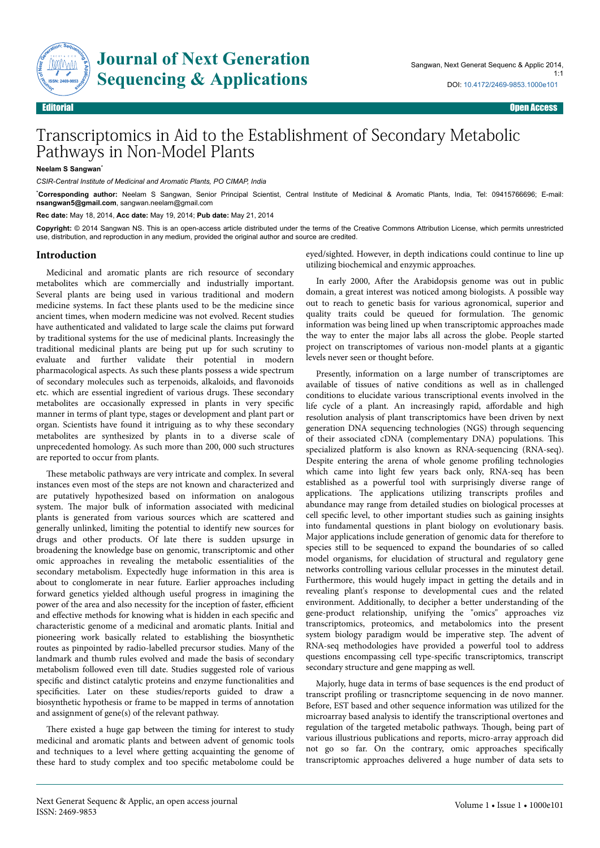

## $\begin{array}{c} \text{A}^{\text{inter, 1.5}} \text{ in } \mathbb{R}^3 \text{ in } \mathbb{R}^4 \text{ in } \mathbb{R}^4 \text{ in } \mathbb{R}^4 \text{ in } \mathbb{R}^4 \text{ in } \mathbb{R}^4 \text{ in } \mathbb{R}^4 \text{ in } \mathbb{R}^4 \text{ in } \mathbb{R}^4 \text{ in } \mathbb{R}^4 \text{ in } \mathbb{R}^4 \text{ in } \mathbb{R}^4 \text{ in } \mathbb{R}^4 \text{ in } \mathbb{R}^4 \text{ in } \mathbb{R}^4 \text$ **Journal of Next Generation**

## Transcriptomics in Aid to the Establishment of Secondary Metabolic Pathways in Non-Model Plants

**Neelam S Sangwan**\*

*CSIR-Central Institute of Medicinal and Aromatic Plants, PO CIMAP, India*

\***Corresponding author:** Neelam S Sangwan, Senior Principal Scientist, Central Institute of Medicinal & Aromatic Plants, India, Tel: 09415766696; E-mail: **nsangwan5@gmail.com**, sangwan.neelam@gmail.com

**Rec date:** May 18, 2014, **Acc date:** May 19, 2014; **Pub date:** May 21, 2014

**Copyright:** © 2014 Sangwan NS. This is an open-access article distributed under the terms of the Creative Commons Attribution License, which permits unrestricted use, distribution, and reproduction in any medium, provided the original author and source are credited.

## **Introduction**

Medicinal and aromatic plants are rich resource of secondary metabolites which are commercially and industrially important. Several plants are being used in various traditional and modern medicine systems. In fact these plants used to be the medicine since ancient times, when modern medicine was not evolved. Recent studies have authenticated and validated to large scale the claims put forward by traditional systems for the use of medicinal plants. Increasingly the traditional medicinal plants are being put up for such scrutiny to evaluate and further validate their potential in modern pharmacological aspects. As such these plants possess a wide spectrum of secondary molecules such as terpenoids, alkaloids, and flavonoids etc. which are essential ingredient of various drugs. Нese secondary metabolites are occasionally expressed in plants in very specific manner in terms of plant type, stages or development and plant part or organ. Scientists have found it intriguing as to why these secondary metabolites are synthesized by plants in to a diverse scale of unprecedented homology. As such more than 200, 000 such structures are reported to occur from plants.

These metabolic pathways are very intricate and complex. In several instances even most of the steps are not known and characterized and are putatively hypothesized based on information on analogous system. Нe major bulk of information associated with medicinal plants is generated from various sources which are scattered and generally unlinked, limiting the potential to identify new sources for drugs and other products. Of late there is sudden upsurge in broadening the knowledge base on genomic, transcriptomic and other omic approaches in revealing the metabolic essentialities of the secondary metabolism. Expectedly huge information in this area is about to conglomerate in near future. Earlier approaches including forward genetics yielded although useful progress in imagining the power of the area and also necessity for the inception of faster, efficient and effective methods for knowing what is hidden in each specific and characteristic genome of a medicinal and aromatic plants. Initial and pioneering work basically related to establishing the biosynthetic routes as pinpointed by radio-labelled precursor studies. Many of the landmark and thumb rules evolved and made the basis of secondary metabolism followed even till date. Studies suggested role of various specific and distinct catalytic proteins and enzyme functionalities and specificities. Later on these studies/reports guided to draw a biosynthetic hypothesis or frame to be mapped in terms of annotation and assignment of gene(s) of the relevant pathway.

There existed a huge gap between the timing for interest to study medicinal and aromatic plants and between advent of genomic tools and techniques to a level where getting acquainting the genome of these hard to study complex and too specific metabolome could be eyed/sighted. However, in depth indications could continue to line up utilizing biochemical and enzymic approaches.

In early 2000, After the Arabidopsis genome was out in public domain, a great interest was noticed among biologists. A possible way out to reach to genetic basis for various agronomical, superior and quality traits could be queued for formulation. Нe genomic information was being lined up when transcriptomic approaches made the way to enter the major labs all across the globe. People started project on transcriptomes of various non-model plants at a gigantic levels never seen or thought before.

Presently, information on a large number of transcriptomes are available of tissues of native conditions as well as in challenged conditions to elucidate various transcriptional events involved in the life cycle of a plant. An increasingly rapid, affordable and high resolution analysis of plant transcriptomics have been driven by next generation DNA sequencing technologies (NGS) through sequencing of their associated cDNA (complementary DNA) populations. Нis specialized platform is also known as RNA-sequencing (RNA-seq). Despite entering the arena of whole genome profiling technologies which came into light few years back only, RNA-seq has been established as a powerful tool with surprisingly diverse range of applications. The applications utilizing transcripts profiles and abundance may range from detailed studies on biological processes at cell specific level, to other important studies such as gaining insights into fundamental questions in plant biology on evolutionary basis. Major applications include generation of genomic data for therefore to species still to be sequenced to expand the boundaries of so called model organisms, for elucidation of structural and regulatory gene networks controlling various cellular processes in the minutest detail. Furthermore, this would hugely impact in getting the details and in revealing plant's response to developmental cues and the related environment. Additionally, to decipher a better understanding of the gene-product relationship, unifying the "omics" approaches viz transcriptomics, proteomics, and metabolomics into the present system biology paradigm would be imperative step. Нe advent of RNA-seq methodologies have provided a powerful tool to address questions encompassing cell type-specific transcriptomics, transcript secondary structure and gene mapping as well.

Majorly, huge data in terms of base sequences is the end product of transcript profiling or trasncriptome sequencing in de novo manner. Before, EST based and other sequence information was utilized for the microarray based analysis to identify the transcriptional overtones and regulation of the targeted metabolic pathways. Нough, being part of various illustrious publications and reports, micro-array approach did not go so far. On the contrary, omic approaches specifically transcriptomic approaches delivered a huge number of data sets to